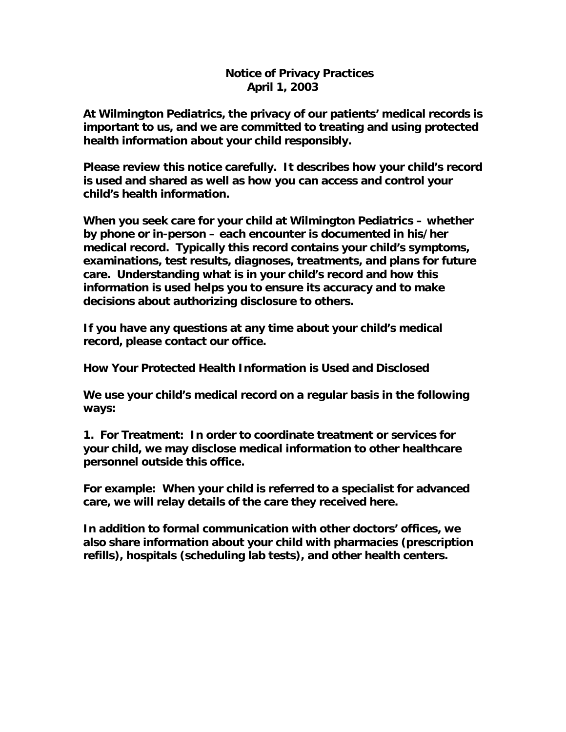## **Notice of Privacy Practices April 1, 2003**

**At Wilmington Pediatrics, the privacy of our patients' medical records is important to us, and we are committed to treating and using protected health information about your child responsibly.**

**Please review this notice carefully. It describes how your child's record is used and shared as well as how you can access and control your child's health information.**

**When you seek care for your child at Wilmington Pediatrics – whether by phone or in-person – each encounter is documented in his/her medical record. Typically this record contains your child's symptoms, examinations, test results, diagnoses, treatments, and plans for future care. Understanding what is in your child's record and how this information is used helps you to ensure its accuracy and to make decisions about authorizing disclosure to others.**

**If you have any questions at any time about your child's medical record, please contact our office.**

**How Your Protected Health Information is Used and Disclosed**

**We use your child's medical record on a regular basis in the following ways:**

**1. For Treatment: In order to coordinate treatment or services for your child, we may disclose medical information to other healthcare personnel outside this office.**

**For example: When your child is referred to a specialist for advanced care, we will relay details of the care they received here.**

**In addition to formal communication with other doctors' offices, we also share information about your child with pharmacies (prescription refills), hospitals (scheduling lab tests), and other health centers.**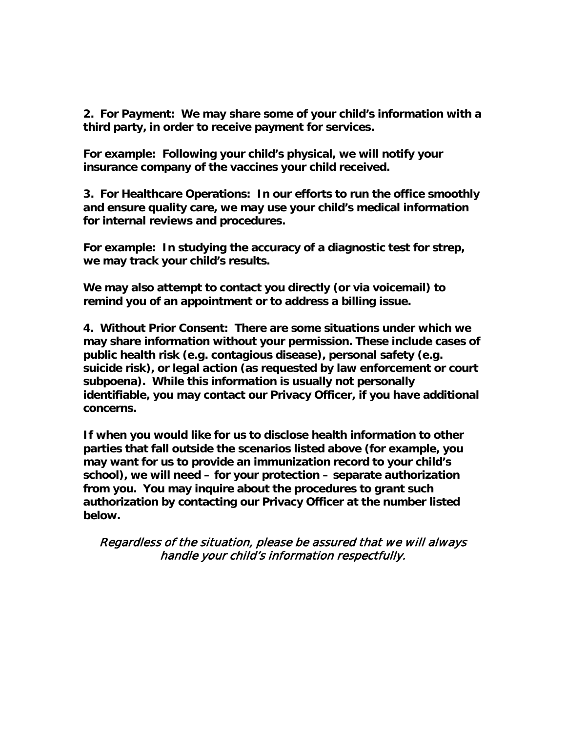**2. For Payment: We may share some of your child's information with a third party, in order to receive payment for services.**

**For example: Following your child's physical, we will notify your insurance company of the vaccines your child received.**

**3. For Healthcare Operations: In our efforts to run the office smoothly and ensure quality care, we may use your child's medical information for internal reviews and procedures.**

**For example: In studying the accuracy of a diagnostic test for strep, we may track your child's results.**

**We may also attempt to contact you directly (or via voicemail) to remind you of an appointment or to address a billing issue.** 

**4. Without Prior Consent: There are some situations under which we may share information without your permission. These include cases of public health risk (e.g. contagious disease), personal safety (e.g. suicide risk), or legal action (as requested by law enforcement or court subpoena). While this information is usually not personally identifiable, you may contact our Privacy Officer, if you have additional concerns.**

**If when you would like for us to disclose health information to other parties that fall outside the scenarios listed above (for example, you may want for us to provide an immunization record to your child's school), we will need – for your protection – separate authorization from you. You may inquire about the procedures to grant such authorization by contacting our Privacy Officer at the number listed below.**

Regardless of the situation, please be assured that we will always handle your child's information respectfully.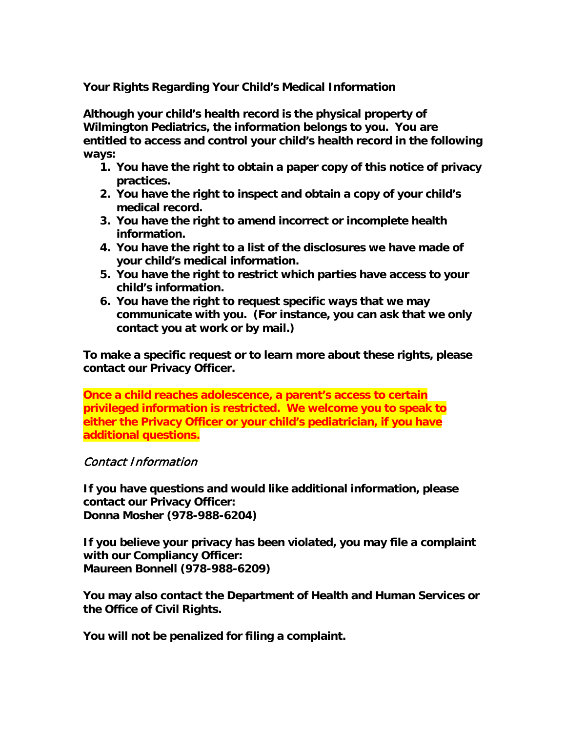**Your Rights Regarding Your Child's Medical Information**

**Although your child's health record is the physical property of Wilmington Pediatrics, the information belongs to you. You are entitled to access and control your child's health record in the following ways:**

- **1. You have the right to obtain a paper copy of this notice of privacy practices.**
- **2. You have the right to inspect and obtain a copy of your child's medical record.**
- **3. You have the right to amend incorrect or incomplete health information.**
- **4. You have the right to a list of the disclosures we have made of your child's medical information.**
- **5. You have the right to restrict which parties have access to your child's information.**
- **6. You have the right to request specific ways that we may communicate with you. (For instance, you can ask that we only contact you at work or by mail.)**

**To make a specific request or to learn more about these rights, please contact our Privacy Officer.**

**Once a child reaches adolescence, a parent's access to certain privileged information is restricted. We welcome you to speak to either the Privacy Officer or your child's pediatrician, if you have additional questions.**

## Contact Information

**If you have questions and would like additional information, please contact our Privacy Officer: Donna Mosher (978-988-6204)**

**If you believe your privacy has been violated, you may file a complaint with our Compliancy Officer: Maureen Bonnell (978-988-6209)**

**You may also contact the Department of Health and Human Services or the Office of Civil Rights.** 

**You will not be penalized for filing a complaint.**